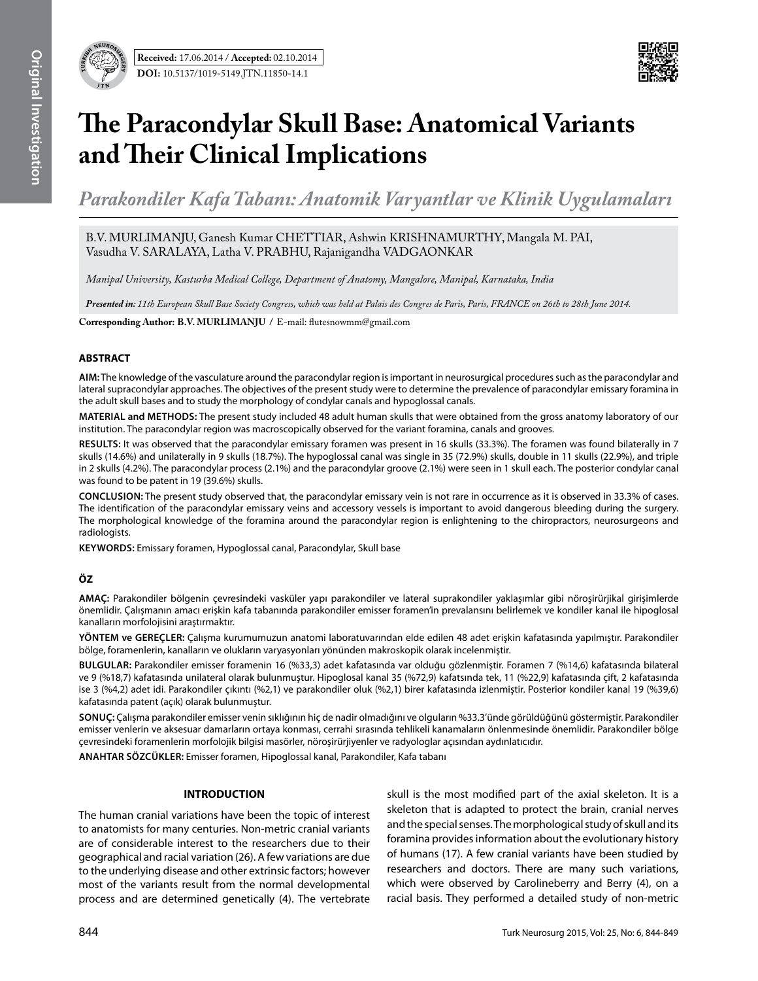

# **The Paracondylar Skull Base: Anatomical Variants and Their Clinical Implications**

*Parakondiler Kafa Tabanı: Anatomik Varyantlar ve Klinik Uygulamaları*

B.V. MURLIMANJU, Ganesh Kumar CHETTIAR, Ashwin KRISHNAMURTHY, Mangala M. PAI, Vasudha V. SARALAYA, Latha V. PRABHU, Rajanigandha VADGAONKAR

*Manipal University, Kasturba Medical College, Department of Anatomy, Mangalore, Manipal, Karnataka, India* 

*Presented in: 11th European Skull Base Society Congress, which was held at Palais des Congres de Paris, Paris, FRANCE on 26th to 28th June 2014.*

**Corresponding Author: B.V. MURLIMANJU /** E-mail: flutesnowmm@gmail.com

### **ABSTRACT**

**AIm:** The knowledge of the vasculature around the paracondylar region is important in neurosurgical procedures such as the paracondylar and lateral supracondylar approaches. The objectives of the present study were to determine the prevalence of paracondylar emissary foramina in the adult skull bases and to study the morphology of condylar canals and hypoglossal canals.

**MaterIal and Methods:** The present study included 48 adult human skulls that were obtained from the gross anatomy laboratory of our institution. The paracondylar region was macroscopically observed for the variant foramina, canals and grooves.

**Results:** It was observed that the paracondylar emissary foramen was present in 16 skulls (33.3%). The foramen was found bilaterally in 7 skulls (14.6%) and unilaterally in 9 skulls (18.7%). The hypoglossal canal was single in 35 (72.9%) skulls, double in 11 skulls (22.9%), and triple in 2 skulls (4.2%). The paracondylar process (2.1%) and the paracondylar groove (2.1%) were seen in 1 skull each. The posterior condylar canal was found to be patent in 19 (39.6%) skulls.

**ConclusIon:** The present study observed that, the paracondylar emissary vein is not rare in occurrence as it is observed in 33.3% of cases. The identification of the paracondylar emissary veins and accessory vessels is important to avoid dangerous bleeding during the surgery. The morphological knowledge of the foramina around the paracondylar region is enlightening to the chiropractors, neurosurgeons and radiologists.

**Keywords:** Emissary foramen, Hypoglossal canal, Paracondylar, Skull base

## **ÖZ**

**AMAÇ:** Parakondiler bölgenin çevresindeki vasküler yapı parakondiler ve lateral suprakondiler yaklaşımlar gibi nöroşirürjikal girişimlerde önemlidir. Çalışmanın amacı erişkin kafa tabanında parakondiler emisser foramen'in prevalansını belirlemek ve kondiler kanal ile hipoglosal kanalların morfolojisini araştırmaktır.

**YÖNTEM ve GEREÇLER:** Çalışma kurumumuzun anatomi laboratuvarından elde edilen 48 adet erişkin kafatasında yapılmıştır. Parakondiler bölge, foramenlerin, kanalların ve olukların varyasyonları yönünden makroskopik olarak incelenmiştir.

**BULGULAR:** Parakondiler emisser foramenin 16 (%33,3) adet kafatasında var olduğu gözlenmiştir. Foramen 7 (%14,6) kafatasında bilateral ve 9 (%18,7) kafatasında unilateral olarak bulunmuştur. Hipoglosal kanal 35 (%72,9) kafatsında tek, 11 (%22,9) kafatasında çift, 2 kafatasında ise 3 (%4,2) adet idi. Parakondiler çıkıntı (%2,1) ve parakondiler oluk (%2,1) birer kafatasında izlenmiştir. Posterior kondiler kanal 19 (%39,6) kafatasında patent (açık) olarak bulunmuştur.

**SONUÇ:** Çalışma parakondiler emisser venin sıklığının hiç de nadir olmadığını ve olguların %33.3'ünde görüldüğünü göstermiştir. Parakondiler emisser venlerin ve aksesuar damarların ortaya konması, cerrahi sırasında tehlikeli kanamaların önlenmesinde önemlidir. Parakondiler bölge çevresindeki foramenlerin morfolojik bilgisi masörler, nöroşirürjiyenler ve radyologlar açısından aydınlatıcıdır.

**ANAHTAR SÖZCÜKLER:** Emisser foramen, Hipoglossal kanal, Parakondiler, Kafa tabanı

#### **INTRODUCTION**

The human cranial variations have been the topic of interest to anatomists for many centuries. Non-metric cranial variants are of considerable interest to the researchers due to their geographical and racial variation (26). A few variations are due to the underlying disease and other extrinsic factors; however most of the variants result from the normal developmental process and are determined genetically (4). The vertebrate

skull is the most modified part of the axial skeleton. It is a skeleton that is adapted to protect the brain, cranial nerves and the special senses. The morphological study of skull and its foramina provides information about the evolutionary history of humans (17). A few cranial variants have been studied by researchers and doctors. There are many such variations, which were observed by Carolineberry and Berry (4), on a racial basis. They performed a detailed study of non-metric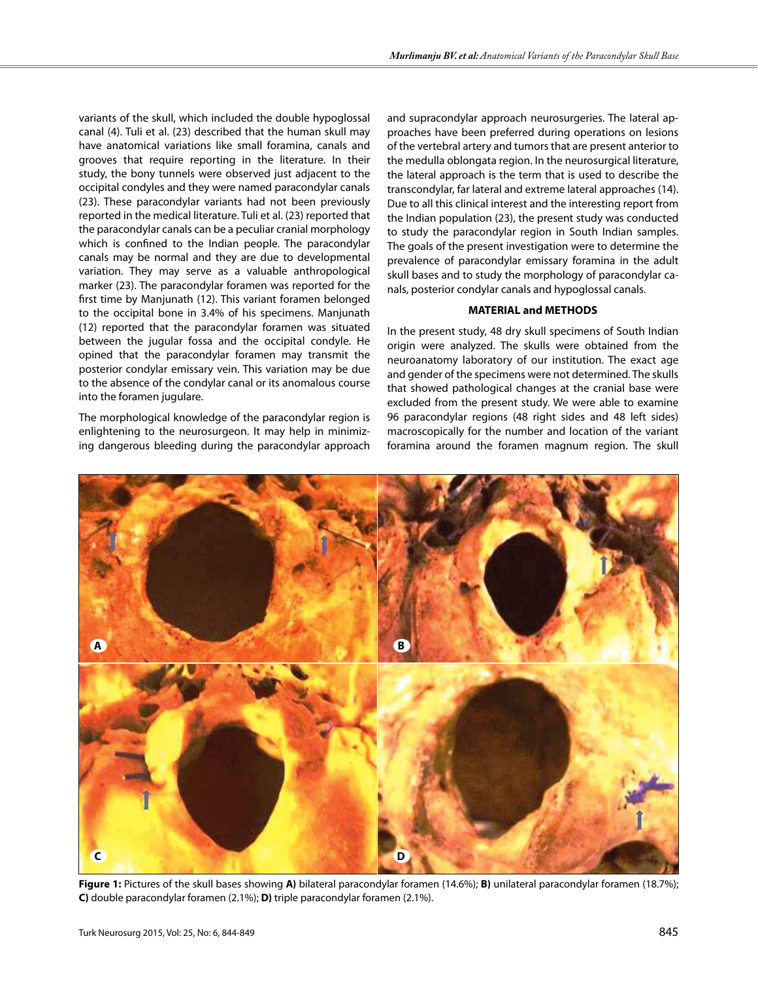variants of the skull, which included the double hypoglossal canal (4). Tuli et al. (23) described that the human skull may have anatomical variations like small foramina, canals and grooves that require reporting in the literature. In their study, the bony tunnels were observed just adjacent to the occipital condyles and they were named paracondylar canals (23). These paracondylar variants had not been previously reported in the medical literature. Tuli et al. (23) reported that the paracondylar canals can be a peculiar cranial morphology which is confined to the Indian people. The paracondylar canals may be normal and they are due to developmental variation. They may serve as a valuable anthropological marker (23). The paracondylar foramen was reported for the first time by Manjunath (12). This variant foramen belonged to the occipital bone in 3.4% of his specimens. Manjunath (12) reported that the paracondylar foramen was situated between the jugular fossa and the occipital condyle. He opined that the paracondylar foramen may transmit the posterior condylar emissary vein. This variation may be due to the absence of the condylar canal or its anomalous course into the foramen jugulare.

The morphological knowledge of the paracondylar region is enlightening to the neurosurgeon. It may help in minimizing dangerous bleeding during the paracondylar approach

and supracondylar approach neurosurgeries. The lateral approaches have been preferred during operations on lesions of the vertebral artery and tumors that are present anterior to the medulla oblongata region. In the neurosurgical literature, the lateral approach is the term that is used to describe the transcondylar, far lateral and extreme lateral approaches (14). Due to all this clinical interest and the interesting report from the Indian population (23), the present study was conducted to study the paracondylar region in South Indian samples. The goals of the present investigation were to determine the prevalence of paracondylar emissary foramina in the adult skull bases and to study the morphology of paracondylar canals, posterior condylar canals and hypoglossal canals.

#### **MATERIAL and METHODS**

In the present study, 48 dry skull specimens of South Indian origin were analyzed. The skulls were obtained from the neuroanatomy laboratory of our institution. The exact age and gender of the specimens were not determined. The skulls that showed pathological changes at the cranial base were excluded from the present study. We were able to examine 96 paracondylar regions (48 right sides and 48 left sides) macroscopically for the number and location of the variant foramina around the foramen magnum region. The skull



**Figure 1:** Pictures of the skull bases showing **A)** bilateral paracondylar foramen (14.6%); **B)** unilateral paracondylar foramen (18.7%); **C)** double paracondylar foramen (2.1%); **D)** triple paracondylar foramen (2.1%).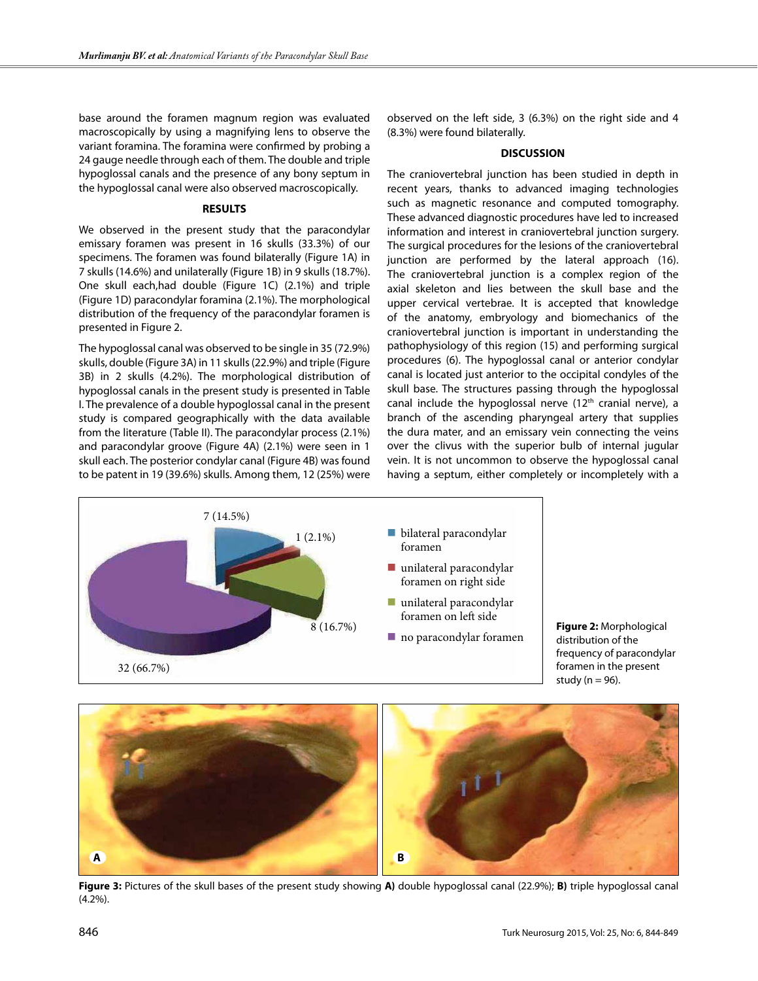base around the foramen magnum region was evaluated macroscopically by using a magnifying lens to observe the variant foramina. The foramina were confirmed by probing a 24 gauge needle through each of them. The double and triple hypoglossal canals and the presence of any bony septum in the hypoglossal canal were also observed macroscopically.

#### **RESULTS**

We observed in the present study that the paracondylar emissary foramen was present in 16 skulls (33.3%) of our specimens. The foramen was found bilaterally (Figure 1A) in 7 skulls (14.6%) and unilaterally (Figure 1B) in 9 skulls (18.7%). One skull each,had double (Figure 1C) (2.1%) and triple (Figure 1D) paracondylar foramina (2.1%). The morphological distribution of the frequency of the paracondylar foramen is presented in Figure 2.

The hypoglossal canal was observed to be single in 35 (72.9%) skulls, double (Figure 3A) in 11 skulls (22.9%) and triple (Figure 3B) in 2 skulls (4.2%). The morphological distribution of hypoglossal canals in the present study is presented in Table I. The prevalence of a double hypoglossal canal in the present study is compared geographically with the data available from the literature (Table II). The paracondylar process (2.1%) and paracondylar groove (Figure 4A) (2.1%) were seen in 1 skull each. The posterior condylar canal (Figure 4B) was found to be patent in 19 (39.6%) skulls. Among them, 12 (25%) were observed on the left side, 3 (6.3%) on the right side and 4 (8.3%) were found bilaterally.

#### **DISCUSSION**

The craniovertebral junction has been studied in depth in recent years, thanks to advanced imaging technologies such as magnetic resonance and computed tomography. These advanced diagnostic procedures have led to increased information and interest in craniovertebral junction surgery. The surgical procedures for the lesions of the craniovertebral junction are performed by the lateral approach (16). The craniovertebral junction is a complex region of the axial skeleton and lies between the skull base and the upper cervical vertebrae. It is accepted that knowledge of the anatomy, embryology and biomechanics of the craniovertebral junction is important in understanding the pathophysiology of this region (15) and performing surgical procedures (6). The hypoglossal canal or anterior condylar canal is located just anterior to the occipital condyles of the skull base. The structures passing through the hypoglossal canal include the hypoglossal nerve  $(12<sup>th</sup>$  cranial nerve), a branch of the ascending pharyngeal artery that supplies the dura mater, and an emissary vein connecting the veins over the clivus with the superior bulb of internal jugular vein. It is not uncommon to observe the hypoglossal canal having a septum, either completely or incompletely with a



**Figure 2:** Morphological distribution of the frequency of paracondylar foramen in the present study ( $n = 96$ ).



**Figure 3:** Pictures of the skull bases of the present study showing **A)** double hypoglossal canal (22.9%); **B)** triple hypoglossal canal (4.2%).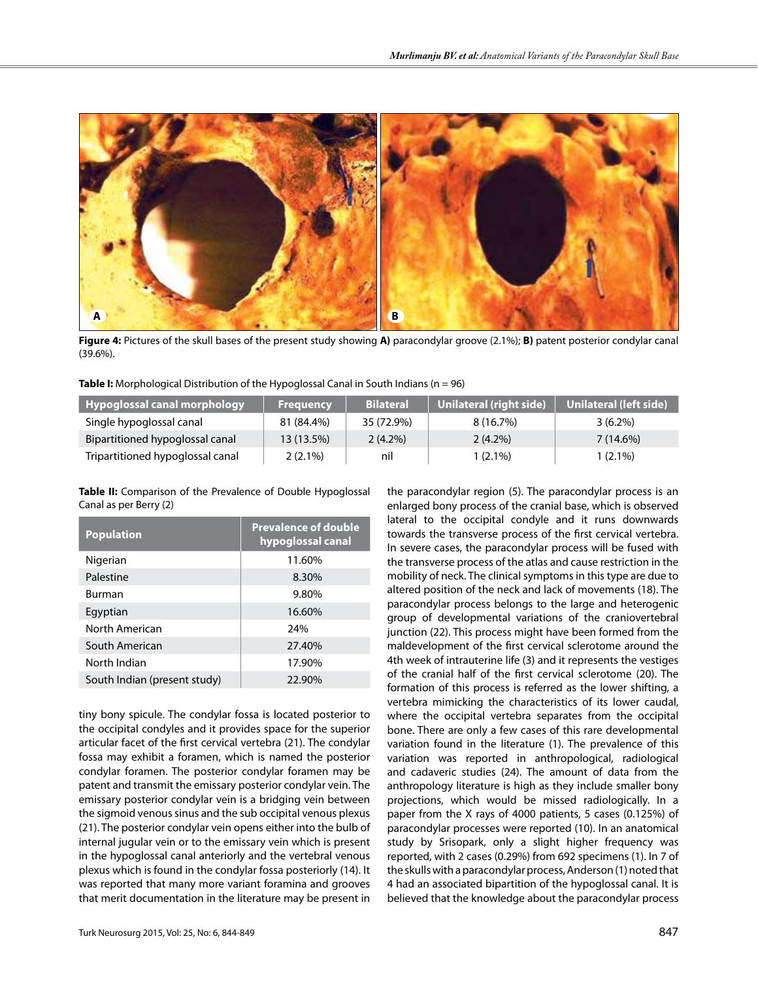

**Figure 4:** Pictures of the skull bases of the present study showing **A)** paracondylar groove (2.1%); **B)** patent posterior condylar canal (39.6%).

| <b>Hypoglossal canal morphology</b> | <b>Frequency</b> | <b>Bilateral</b> | Unilateral (right side) <sup> </sup> | Unilateral (left side) |
|-------------------------------------|------------------|------------------|--------------------------------------|------------------------|
| Single hypoglossal canal            | 81 (84.4%)       | 35 (72.9%)       | 8 (16.7%)                            | $3(6.2\%)$             |
| Bipartitioned hypoglossal canal     | 13 (13.5%)       | $2(4.2\%)$       | $2(4.2\%)$                           | 7(14.6%)               |
| Tripartitioned hypoglossal canal    | $2(2.1\%)$       | nil              | $1(2.1\%)$                           | $1(2.1\%)$             |

**Table II:** Comparison of the Prevalence of Double Hypoglossal Canal as per Berry (2)

| <b>Population</b>            | <b>Prevalence of double</b><br>hypoglossal canal |
|------------------------------|--------------------------------------------------|
| Nigerian                     | 11.60%                                           |
| Palestine                    | 8.30%                                            |
| <b>Burman</b>                | 9.80%                                            |
| Egyptian                     | 16.60%                                           |
| North American               | 24%                                              |
| South American               | 27.40%                                           |
| North Indian                 | 17.90%                                           |
| South Indian (present study) | 22.90%                                           |

tiny bony spicule. The condylar fossa is located posterior to the occipital condyles and it provides space for the superior articular facet of the first cervical vertebra (21). The condylar fossa may exhibit a foramen, which is named the posterior condylar foramen. The posterior condylar foramen may be patent and transmit the emissary posterior condylar vein. The emissary posterior condylar vein is a bridging vein between the sigmoid venous sinus and the sub occipital venous plexus (21). The posterior condylar vein opens either into the bulb of internal jugular vein or to the emissary vein which is present in the hypoglossal canal anteriorly and the vertebral venous plexus which is found in the condylar fossa posteriorly (14). It was reported that many more variant foramina and grooves that merit documentation in the literature may be present in the paracondylar region (5). The paracondylar process is an enlarged bony process of the cranial base, which is observed lateral to the occipital condyle and it runs downwards towards the transverse process of the first cervical vertebra. In severe cases, the paracondylar process will be fused with the transverse process of the atlas and cause restriction in the mobility of neck. The clinical symptoms in this type are due to altered position of the neck and lack of movements (18). The paracondylar process belongs to the large and heterogenic group of developmental variations of the craniovertebral junction (22). This process might have been formed from the maldevelopment of the first cervical sclerotome around the 4th week of intrauterine life (3) and it represents the vestiges of the cranial half of the first cervical sclerotome (20). The formation of this process is referred as the lower shifting, a vertebra mimicking the characteristics of its lower caudal, where the occipital vertebra separates from the occipital bone. There are only a few cases of this rare developmental variation found in the literature (1). The prevalence of this variation was reported in anthropological, radiological and cadaveric studies (24). The amount of data from the anthropology literature is high as they include smaller bony projections, which would be missed radiologically. In a paper from the X rays of 4000 patients, 5 cases (0.125%) of paracondylar processes were reported (10). In an anatomical study by Srisopark, only a slight higher frequency was reported, with 2 cases (0.29%) from 692 specimens (1). In 7 of the skulls with a paracondylar process, Anderson (1) noted that 4 had an associated bipartition of the hypoglossal canal. It is believed that the knowledge about the paracondylar process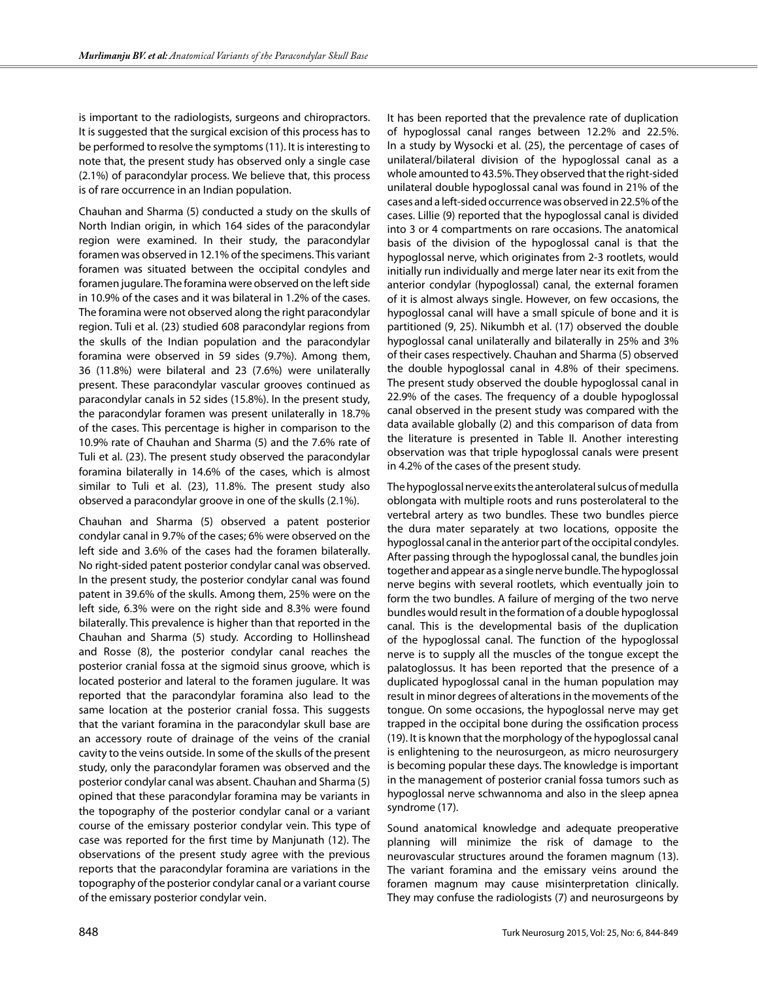is important to the radiologists, surgeons and chiropractors. It is suggested that the surgical excision of this process has to be performed to resolve the symptoms (11). It is interesting to note that, the present study has observed only a single case (2.1%) of paracondylar process. We believe that, this process is of rare occurrence in an Indian population.

Chauhan and Sharma (5) conducted a study on the skulls of North Indian origin, in which 164 sides of the paracondylar region were examined. In their study, the paracondylar foramen was observed in 12.1% of the specimens. This variant foramen was situated between the occipital condyles and foramen jugulare. The foramina were observed on the left side in 10.9% of the cases and it was bilateral in 1.2% of the cases. The foramina were not observed along the right paracondylar region. Tuli et al. (23) studied 608 paracondylar regions from the skulls of the Indian population and the paracondylar foramina were observed in 59 sides (9.7%). Among them, 36 (11.8%) were bilateral and 23 (7.6%) were unilaterally present. These paracondylar vascular grooves continued as paracondylar canals in 52 sides (15.8%). In the present study, the paracondylar foramen was present unilaterally in 18.7% of the cases. This percentage is higher in comparison to the 10.9% rate of Chauhan and Sharma (5) and the 7.6% rate of Tuli et al. (23). The present study observed the paracondylar foramina bilaterally in 14.6% of the cases, which is almost similar to Tuli et al. (23), 11.8%. The present study also observed a paracondylar groove in one of the skulls (2.1%).

Chauhan and Sharma (5) observed a patent posterior condylar canal in 9.7% of the cases; 6% were observed on the left side and 3.6% of the cases had the foramen bilaterally. No right-sided patent posterior condylar canal was observed. In the present study, the posterior condylar canal was found patent in 39.6% of the skulls. Among them, 25% were on the left side, 6.3% were on the right side and 8.3% were found bilaterally. This prevalence is higher than that reported in the Chauhan and Sharma (5) study. According to Hollinshead and Rosse (8), the posterior condylar canal reaches the posterior cranial fossa at the sigmoid sinus groove, which is located posterior and lateral to the foramen jugulare. It was reported that the paracondylar foramina also lead to the same location at the posterior cranial fossa. This suggests that the variant foramina in the paracondylar skull base are an accessory route of drainage of the veins of the cranial cavity to the veins outside. In some of the skulls of the present study, only the paracondylar foramen was observed and the posterior condylar canal was absent. Chauhan and Sharma (5) opined that these paracondylar foramina may be variants in the topography of the posterior condylar canal or a variant course of the emissary posterior condylar vein. This type of case was reported for the first time by Manjunath (12). The observations of the present study agree with the previous reports that the paracondylar foramina are variations in the topography of the posterior condylar canal or a variant course of the emissary posterior condylar vein.

It has been reported that the prevalence rate of duplication of hypoglossal canal ranges between 12.2% and 22.5%. In a study by Wysocki et al. (25), the percentage of cases of unilateral/bilateral division of the hypoglossal canal as a whole amounted to 43.5%. They observed that the right-sided unilateral double hypoglossal canal was found in 21% of the cases and a left-sided occurrence was observed in 22.5% of the cases. Lillie (9) reported that the hypoglossal canal is divided into 3 or 4 compartments on rare occasions. The anatomical basis of the division of the hypoglossal canal is that the hypoglossal nerve, which originates from 2-3 rootlets, would initially run individually and merge later near its exit from the anterior condylar (hypoglossal) canal, the external foramen of it is almost always single. However, on few occasions, the hypoglossal canal will have a small spicule of bone and it is partitioned (9, 25). Nikumbh et al. (17) observed the double hypoglossal canal unilaterally and bilaterally in 25% and 3% of their cases respectively. Chauhan and Sharma (5) observed the double hypoglossal canal in 4.8% of their specimens. The present study observed the double hypoglossal canal in 22.9% of the cases. The frequency of a double hypoglossal canal observed in the present study was compared with the data available globally (2) and this comparison of data from the literature is presented in Table II. Another interesting observation was that triple hypoglossal canals were present in 4.2% of the cases of the present study.

The hypoglossal nerve exits the anterolateral sulcus of medulla oblongata with multiple roots and runs posterolateral to the vertebral artery as two bundles. These two bundles pierce the dura mater separately at two locations, opposite the hypoglossal canal in the anterior part of the occipital condyles. After passing through the hypoglossal canal, the bundles join together and appear as a single nerve bundle. The hypoglossal nerve begins with several rootlets, which eventually join to form the two bundles. A failure of merging of the two nerve bundles would result in the formation of a double hypoglossal canal. This is the developmental basis of the duplication of the hypoglossal canal. The function of the hypoglossal nerve is to supply all the muscles of the tongue except the palatoglossus. It has been reported that the presence of a duplicated hypoglossal canal in the human population may result in minor degrees of alterations in the movements of the tongue. On some occasions, the hypoglossal nerve may get trapped in the occipital bone during the ossification process (19). It is known that the morphology of the hypoglossal canal is enlightening to the neurosurgeon, as micro neurosurgery is becoming popular these days. The knowledge is important in the management of posterior cranial fossa tumors such as hypoglossal nerve schwannoma and also in the sleep apnea syndrome (17).

Sound anatomical knowledge and adequate preoperative planning will minimize the risk of damage to the neurovascular structures around the foramen magnum (13). The variant foramina and the emissary veins around the foramen magnum may cause misinterpretation clinically. They may confuse the radiologists (7) and neurosurgeons by